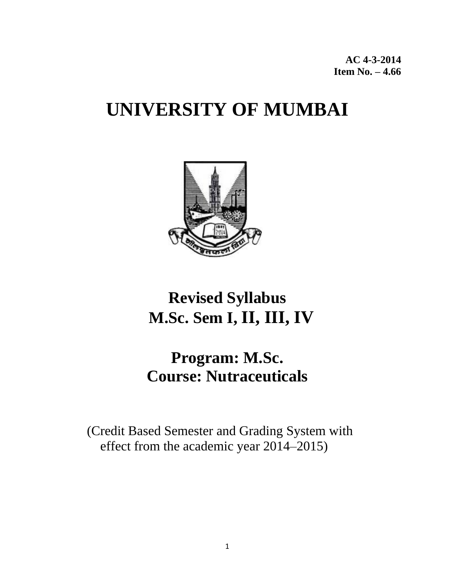**AC 4-3-2014 Item No. – 4.66** 

# **UNIVERSITY OF MUMBAI**



# **Revised Syllabus M.Sc. Sem I, II, III, IV**

# **Program: M.Sc. Course: Nutraceuticals**

 (Credit Based Semester and Grading System with effect from the academic year 2014–2015)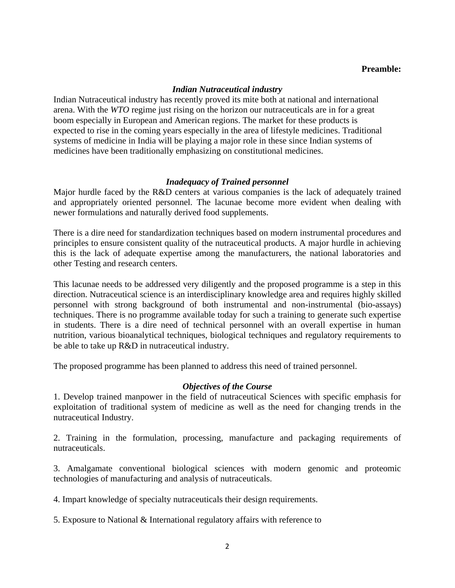#### **Preamble:**

#### *Indian Nutraceutical industry*

Indian Nutraceutical industry has recently proved its mite both at national and international arena. With the *WTO* regime just rising on the horizon our nutraceuticals are in for a great boom especially in European and American regions. The market for these products is expected to rise in the coming years especially in the area of lifestyle medicines. Traditional systems of medicine in India will be playing a major role in these since Indian systems of medicines have been traditionally emphasizing on constitutional medicines.

#### *Inadequacy of Trained personnel*

Major hurdle faced by the R&D centers at various companies is the lack of adequately trained and appropriately oriented personnel. The lacunae become more evident when dealing with newer formulations and naturally derived food supplements.

There is a dire need for standardization techniques based on modern instrumental procedures and principles to ensure consistent quality of the nutraceutical products. A major hurdle in achieving this is the lack of adequate expertise among the manufacturers, the national laboratories and other Testing and research centers.

This lacunae needs to be addressed very diligently and the proposed programme is a step in this direction. Nutraceutical science is an interdisciplinary knowledge area and requires highly skilled personnel with strong background of both instrumental and non-instrumental (bio-assays) techniques. There is no programme available today for such a training to generate such expertise in students. There is a dire need of technical personnel with an overall expertise in human nutrition, various bioanalytical techniques, biological techniques and regulatory requirements to be able to take up R&D in nutraceutical industry.

The proposed programme has been planned to address this need of trained personnel.

#### *Objectives of the Course*

1. Develop trained manpower in the field of nutraceutical Sciences with specific emphasis for exploitation of traditional system of medicine as well as the need for changing trends in the nutraceutical Industry.

2. Training in the formulation, processing, manufacture and packaging requirements of nutraceuticals.

3. Amalgamate conventional biological sciences with modern genomic and proteomic technologies of manufacturing and analysis of nutraceuticals.

4. Impart knowledge of specialty nutraceuticals their design requirements.

5. Exposure to National & International regulatory affairs with reference to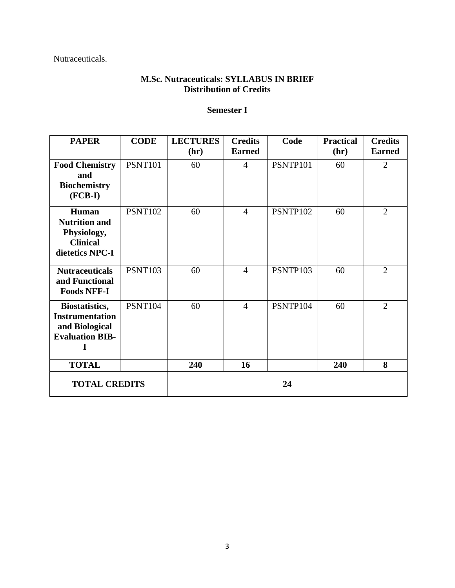Nutraceuticals.

# **M.Sc. Nutraceuticals: SYLLABUS IN BRIEF Distribution of Credits**

# **Semester I**

| <b>PAPER</b>                                                                                     | <b>CODE</b>    | <b>LECTURES</b> | <b>Credits</b> | Code     | <b>Practical</b> | <b>Credits</b> |
|--------------------------------------------------------------------------------------------------|----------------|-----------------|----------------|----------|------------------|----------------|
|                                                                                                  |                | (hr)            | <b>Earned</b>  |          | (hr)             | <b>Earned</b>  |
| <b>Food Chemistry</b><br>and<br><b>Biochemistry</b><br>$(FCB-I)$                                 | <b>PSNT101</b> | 60              | $\overline{4}$ | PSNTP101 | 60               | $\overline{2}$ |
| Human<br><b>Nutrition and</b><br>Physiology,<br><b>Clinical</b><br>dietetics NPC-I               | <b>PSNT102</b> | 60              | $\overline{4}$ | PSNTP102 | 60               | $\overline{2}$ |
| <b>Nutraceuticals</b><br>and Functional<br><b>Foods NFF-I</b>                                    | <b>PSNT103</b> | 60              | $\overline{4}$ | PSNTP103 | 60               | $\overline{2}$ |
| <b>Biostatistics,</b><br><b>Instrumentation</b><br>and Biological<br><b>Evaluation BIB-</b><br>T | <b>PSNT104</b> | 60              | $\overline{4}$ | PSNTP104 | 60               | $\overline{2}$ |
| <b>TOTAL</b>                                                                                     |                | 240             | 16             |          | 240              | 8              |
| <b>TOTAL CREDITS</b>                                                                             |                |                 |                | 24       |                  |                |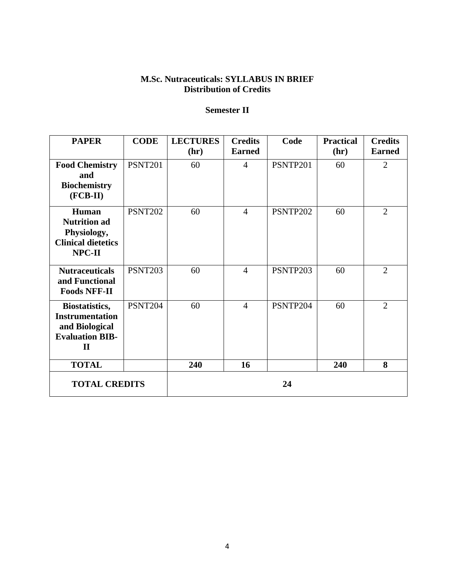# **M.Sc. Nutraceuticals: SYLLABUS IN BRIEF Distribution of Credits**

# **Semester II**

| <b>PAPER</b>                                                                                         | <b>CODE</b>    | <b>LECTURES</b> | <b>Credits</b> | Code     | <b>Practical</b> | <b>Credits</b> |
|------------------------------------------------------------------------------------------------------|----------------|-----------------|----------------|----------|------------------|----------------|
|                                                                                                      |                | (hr)            | <b>Earned</b>  |          | (hr)             | <b>Earned</b>  |
| <b>Food Chemistry</b><br>and<br><b>Biochemistry</b><br>$(FCB-II)$                                    | <b>PSNT201</b> | 60              | $\overline{4}$ | PSNTP201 | 60               | $\overline{2}$ |
| Human<br><b>Nutrition ad</b><br>Physiology,<br><b>Clinical dietetics</b><br>NPC-II                   | <b>PSNT202</b> | 60              | $\overline{4}$ | PSNTP202 | 60               | $\overline{2}$ |
| <b>Nutraceuticals</b><br>and Functional<br><b>Foods NFF-II</b>                                       | <b>PSNT203</b> | 60              | $\overline{4}$ | PSNTP203 | 60               | $\overline{2}$ |
| Biostatistics,<br><b>Instrumentation</b><br>and Biological<br><b>Evaluation BIB-</b><br>$\mathbf{I}$ | <b>PSNT204</b> | 60              | $\overline{4}$ | PSNTP204 | 60               | $\overline{2}$ |
| <b>TOTAL</b>                                                                                         |                | 240             | 16             |          | 240              | 8              |
| <b>TOTAL CREDITS</b>                                                                                 |                |                 |                | 24       |                  |                |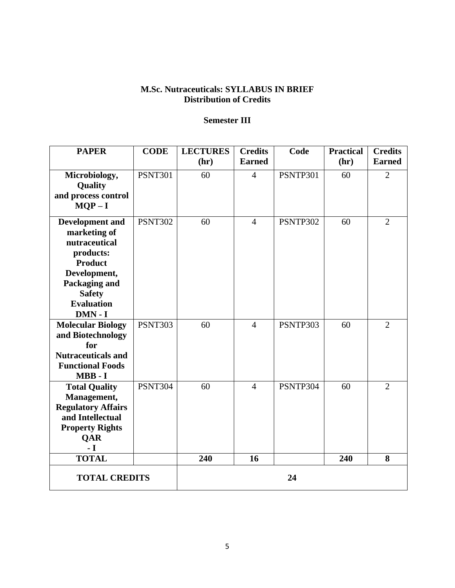# **M.Sc. Nutraceuticals: SYLLABUS IN BRIEF Distribution of Credits**

# **Semester III**

| <b>PAPER</b>                         | <b>CODE</b>    | <b>LECTURES</b> | <b>Credits</b> | Code     | <b>Practical</b> | <b>Credits</b> |
|--------------------------------------|----------------|-----------------|----------------|----------|------------------|----------------|
|                                      |                | (hr)            | <b>Earned</b>  |          | (hr)             | <b>Earned</b>  |
| Microbiology,                        | <b>PSNT301</b> | 60              | $\overline{4}$ | PSNTP301 | 60               | $\overline{2}$ |
| Quality                              |                |                 |                |          |                  |                |
| and process control                  |                |                 |                |          |                  |                |
| $MQP-I$                              |                |                 |                |          |                  |                |
| <b>Development and</b>               | <b>PSNT302</b> | 60              | $\overline{4}$ | PSNTP302 | 60               | $\overline{2}$ |
| marketing of                         |                |                 |                |          |                  |                |
| nutraceutical                        |                |                 |                |          |                  |                |
| products:                            |                |                 |                |          |                  |                |
| <b>Product</b>                       |                |                 |                |          |                  |                |
| Development,                         |                |                 |                |          |                  |                |
| Packaging and                        |                |                 |                |          |                  |                |
| <b>Safety</b><br><b>Evaluation</b>   |                |                 |                |          |                  |                |
| DMN-I                                |                |                 |                |          |                  |                |
| <b>Molecular Biology</b>             | <b>PSNT303</b> | 60              | $\overline{4}$ | PSNTP303 | 60               | $\overline{2}$ |
| and Biotechnology                    |                |                 |                |          |                  |                |
| for                                  |                |                 |                |          |                  |                |
| <b>Nutraceuticals and</b>            |                |                 |                |          |                  |                |
| <b>Functional Foods</b>              |                |                 |                |          |                  |                |
| MBB-I                                |                |                 |                |          |                  |                |
| <b>Total Quality</b>                 | <b>PSNT304</b> | 60              | $\overline{4}$ | PSNTP304 | 60               | $\overline{2}$ |
| Management,                          |                |                 |                |          |                  |                |
| <b>Regulatory Affairs</b>            |                |                 |                |          |                  |                |
| and Intellectual                     |                |                 |                |          |                  |                |
| <b>Property Rights</b><br><b>QAR</b> |                |                 |                |          |                  |                |
| $\mathbf{-I}$                        |                |                 |                |          |                  |                |
| <b>TOTAL</b>                         |                | 240             | 16             |          | 240              | 8              |
| <b>TOTAL CREDITS</b>                 |                | 24              |                |          |                  |                |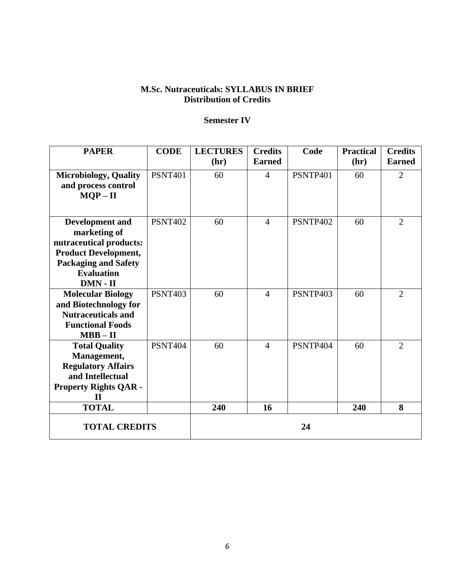# **M.Sc. Nutraceuticals: SYLLABUS IN BRIEF Distribution of Credits**

# **Semester IV**

| <b>PAPER</b>                  | <b>CODE</b>    | <b>LECTURES</b> | <b>Credits</b><br><b>Earned</b> | Code     | <b>Practical</b> | <b>Credits</b><br><b>Earned</b> |
|-------------------------------|----------------|-----------------|---------------------------------|----------|------------------|---------------------------------|
|                               |                | (hr)            |                                 |          | (hr)             |                                 |
| <b>Microbiology</b> , Quality | <b>PSNT401</b> | 60              | $\overline{4}$                  | PSNTP401 | 60               | $\overline{2}$                  |
| and process control           |                |                 |                                 |          |                  |                                 |
| $MQP - II$                    |                |                 |                                 |          |                  |                                 |
|                               |                |                 |                                 |          |                  |                                 |
| <b>Development and</b>        | <b>PSNT402</b> | 60              | $\overline{4}$                  | PSNTP402 | 60               | 2                               |
| marketing of                  |                |                 |                                 |          |                  |                                 |
| nutraceutical products:       |                |                 |                                 |          |                  |                                 |
| <b>Product Development,</b>   |                |                 |                                 |          |                  |                                 |
| <b>Packaging and Safety</b>   |                |                 |                                 |          |                  |                                 |
| <b>Evaluation</b>             |                |                 |                                 |          |                  |                                 |
| $DMN - II$                    |                |                 |                                 |          |                  |                                 |
| <b>Molecular Biology</b>      | <b>PSNT403</b> | 60              | $\overline{4}$                  | PSNTP403 | 60               | $\overline{2}$                  |
| and Biotechnology for         |                |                 |                                 |          |                  |                                 |
| <b>Nutraceuticals and</b>     |                |                 |                                 |          |                  |                                 |
| <b>Functional Foods</b>       |                |                 |                                 |          |                  |                                 |
| $MBB - II$                    |                |                 |                                 |          |                  |                                 |
| <b>Total Quality</b>          | <b>PSNT404</b> | 60              | $\overline{4}$                  | PSNTP404 | 60               | $\overline{2}$                  |
| Management,                   |                |                 |                                 |          |                  |                                 |
| <b>Regulatory Affairs</b>     |                |                 |                                 |          |                  |                                 |
| and Intellectual              |                |                 |                                 |          |                  |                                 |
| <b>Property Rights QAR -</b>  |                |                 |                                 |          |                  |                                 |
| $\mathbf H$                   |                |                 |                                 |          |                  |                                 |
| <b>TOTAL</b>                  |                | 240             | 16                              |          | 240              | 8                               |
| <b>TOTAL CREDITS</b>          |                | 24              |                                 |          |                  |                                 |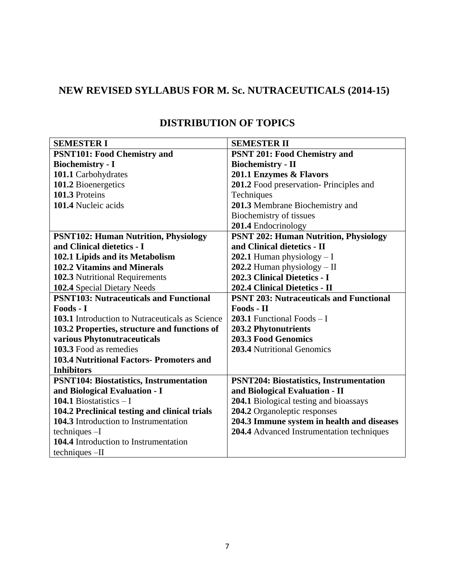# **NEW REVISED SYLLABUS FOR M. Sc. NUTRACEUTICALS (2014-15)**

| <b>SEMESTER I</b>                                      | <b>SEMESTER II</b>                             |
|--------------------------------------------------------|------------------------------------------------|
| <b>PSNT101: Food Chemistry and</b>                     | <b>PSNT 201: Food Chemistry and</b>            |
| <b>Biochemistry - I</b>                                | <b>Biochemistry - II</b>                       |
| 101.1 Carbohydrates                                    | 201.1 Enzymes & Flavors                        |
| 101.2 Bioenergetics                                    | 201.2 Food preservation-Principles and         |
| 101.3 Proteins                                         | Techniques                                     |
| 101.4 Nucleic acids                                    | 201.3 Membrane Biochemistry and                |
|                                                        | Biochemistry of tissues                        |
|                                                        | 201.4 Endocrinology                            |
| <b>PSNT102: Human Nutrition, Physiology</b>            | <b>PSNT 202: Human Nutrition, Physiology</b>   |
| and Clinical dietetics - I                             | and Clinical dietetics - II                    |
| 102.1 Lipids and its Metabolism                        | 202.1 Human physiology $-1$                    |
| 102.2 Vitamins and Minerals                            | 202.2 Human physiology - II                    |
| 102.3 Nutritional Requirements                         | 202.3 Clinical Dietetics - I                   |
| 102.4 Special Dietary Needs                            | 202.4 Clinical Dietetics - II                  |
| <b>PSNT103: Nutraceuticals and Functional</b>          | <b>PSNT 203: Nutraceuticals and Functional</b> |
| Foods - I                                              | Foods - II                                     |
| <b>103.1</b> Introduction to Nutraceuticals as Science | <b>203.1</b> Functional Foods $-1$             |
| 103.2 Properties, structure and functions of           | 203.2 Phytonutrients                           |
| various Phytonutraceuticals                            | <b>203.3 Food Genomics</b>                     |
| 103.3 Food as remedies                                 | 203.4 Nutritional Genomics                     |
| <b>103.4 Nutritional Factors- Promoters and</b>        |                                                |
| <b>Inhibitors</b>                                      |                                                |
| <b>PSNT104: Biostatistics, Instrumentation</b>         | <b>PSNT204: Biostatistics, Instrumentation</b> |
| and Biological Evaluation - I                          | and Biological Evaluation - II                 |
| 104.1 Biostatistics $-1$                               | 204.1 Biological testing and bioassays         |
| 104.2 Preclinical testing and clinical trials          | 204.2 Organoleptic responses                   |
| 104.3 Introduction to Instrumentation                  | 204.3 Immune system in health and diseases     |
| $techniques -I$                                        | 204.4 Advanced Instrumentation techniques      |
| 104.4 Introduction to Instrumentation                  |                                                |
| techniques -II                                         |                                                |

# **DISTRIBUTION OF TOPICS**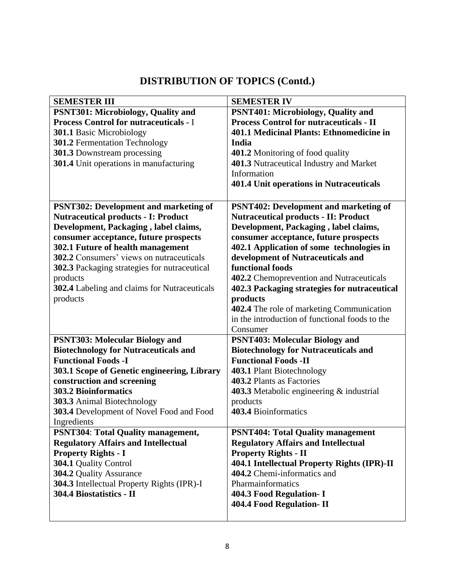# **DISTRIBUTION OF TOPICS (Contd.)**

| <b>SEMESTER III</b>                                 | <b>SEMESTER IV</b>                                 |
|-----------------------------------------------------|----------------------------------------------------|
| PSNT301: Microbiology, Quality and                  | <b>PSNT401: Microbiology, Quality and</b>          |
| <b>Process Control for nutraceuticals - I</b>       | <b>Process Control for nutraceuticals - II</b>     |
| 301.1 Basic Microbiology                            | 401.1 Medicinal Plants: Ethnomedicine in           |
| 301.2 Fermentation Technology                       | India                                              |
| 301.3 Downstream processing                         | 401.2 Monitoring of food quality                   |
| 301.4 Unit operations in manufacturing              | 401.3 Nutraceutical Industry and Market            |
|                                                     | Information                                        |
|                                                     | 401.4 Unit operations in Nutraceuticals            |
|                                                     |                                                    |
| <b>PSNT302: Development and marketing of</b>        | <b>PSNT402: Development and marketing of</b>       |
| <b>Nutraceutical products - I: Product</b>          | <b>Nutraceutical products - II: Product</b>        |
| Development, Packaging, label claims,               | Development, Packaging, label claims,              |
| consumer acceptance, future prospects               | consumer acceptance, future prospects              |
| 302.1 Future of health management                   | 402.1 Application of some technologies in          |
| 302.2 Consumers' views on nutraceuticals            | development of Nutraceuticals and                  |
| 302.3 Packaging strategies for nutraceutical        | functional foods                                   |
| products                                            | 402.2 Chemoprevention and Nutraceuticals           |
| <b>302.4</b> Labeling and claims for Nutraceuticals | 402.3 Packaging strategies for nutraceutical       |
| products                                            | products                                           |
|                                                     | 402.4 The role of marketing Communication          |
|                                                     | in the introduction of functional foods to the     |
|                                                     | Consumer                                           |
| <b>PSNT303: Molecular Biology and</b>               | <b>PSNT403: Molecular Biology and</b>              |
| <b>Biotechnology for Nutraceuticals and</b>         | <b>Biotechnology for Nutraceuticals and</b>        |
| <b>Functional Foods -I</b>                          | <b>Functional Foods -II</b>                        |
| 303.1 Scope of Genetic engineering, Library         | 403.1 Plant Biotechnology                          |
| construction and screening                          | 403.2 Plants as Factories                          |
| <b>303.2 Bioinformatics</b>                         | <b>403.3</b> Metabolic engineering $\&$ industrial |
| 303.3 Animal Biotechnology                          | products                                           |
| 303.4 Development of Novel Food and Food            | 403.4 Bioinformatics                               |
| Ingredients                                         |                                                    |
| <b>PSNT304: Total Quality management,</b>           | <b>PSNT404: Total Quality management</b>           |
| <b>Regulatory Affairs and Intellectual</b>          | <b>Regulatory Affairs and Intellectual</b>         |
| <b>Property Rights - I</b>                          | <b>Property Rights - II</b>                        |
| 304.1 Quality Control                               | 404.1 Intellectual Property Rights (IPR)-II        |
| 304.2 Quality Assurance                             | 404.2 Chemi-informatics and                        |
| 304.3 Intellectual Property Rights (IPR)-I          | Pharmainformatics                                  |
| 304.4 Biostatistics - II                            | 404.3 Food Regulation- I                           |
|                                                     | 404.4 Food Regulation- II                          |
|                                                     |                                                    |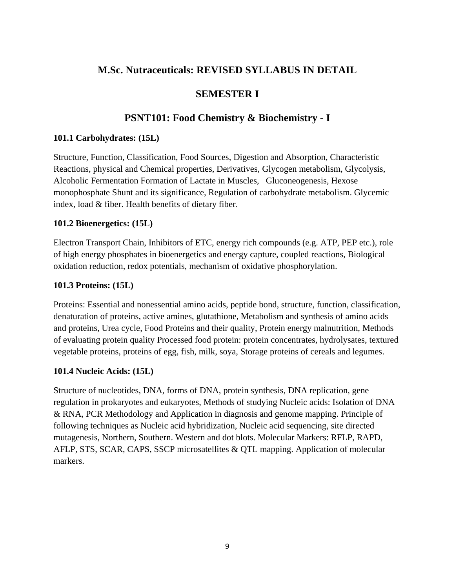# **M.Sc. Nutraceuticals: REVISED SYLLABUS IN DETAIL**

# **SEMESTER I**

# **PSNT101: Food Chemistry & Biochemistry - I**

#### **101.1 Carbohydrates: (15L)**

Structure, Function, Classification, Food Sources, Digestion and Absorption, Characteristic Reactions, physical and Chemical properties, Derivatives, Glycogen metabolism, Glycolysis, Alcoholic Fermentation Formation of Lactate in Muscles, Gluconeogenesis, Hexose monophosphate Shunt and its significance, Regulation of carbohydrate metabolism. Glycemic index, load & fiber. Health benefits of dietary fiber.

#### **101.2 Bioenergetics: (15L)**

Electron Transport Chain, Inhibitors of ETC, energy rich compounds (e.g. ATP, PEP etc.), role of high energy phosphates in bioenergetics and energy capture, coupled reactions, Biological oxidation reduction, redox potentials, mechanism of oxidative phosphorylation.

## **101.3 Proteins: (15L)**

Proteins: Essential and nonessential amino acids, peptide bond, structure, function, classification, denaturation of proteins, active amines, glutathione, Metabolism and synthesis of amino acids and proteins, Urea cycle, Food Proteins and their quality, Protein energy malnutrition, Methods of evaluating protein quality Processed food protein: protein concentrates, hydrolysates, textured vegetable proteins, proteins of egg, fish, milk, soya, Storage proteins of cereals and legumes.

## **101.4 Nucleic Acids: (15L)**

Structure of nucleotides, DNA, forms of DNA, protein synthesis, DNA replication, gene regulation in prokaryotes and eukaryotes, Methods of studying Nucleic acids: Isolation of DNA & RNA, PCR Methodology and Application in diagnosis and genome mapping. Principle of following techniques as Nucleic acid hybridization, Nucleic acid sequencing, site directed mutagenesis, Northern, Southern. Western and dot blots. Molecular Markers: RFLP, RAPD, AFLP, STS, SCAR, CAPS, SSCP microsatellites & QTL mapping. Application of molecular markers.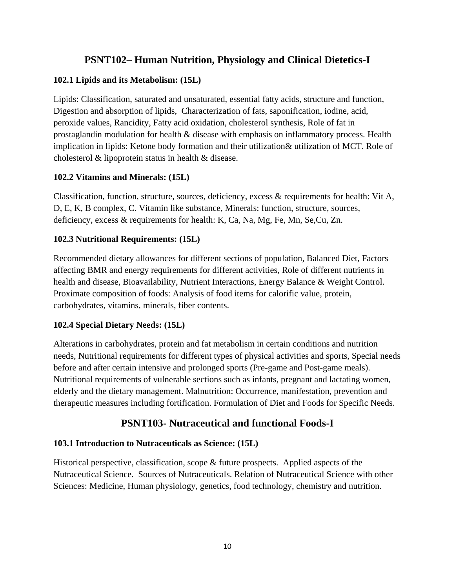# **PSNT102– Human Nutrition, Physiology and Clinical Dietetics-I**

# **102.1 Lipids and its Metabolism: (15L)**

Lipids: Classification, saturated and unsaturated, essential fatty acids, structure and function, Digestion and absorption of lipids, Characterization of fats, saponification, iodine, acid, peroxide values, Rancidity, Fatty acid oxidation, cholesterol synthesis, Role of fat in prostaglandin modulation for health & disease with emphasis on inflammatory process. Health implication in lipids: Ketone body formation and their utilization& utilization of MCT. Role of cholesterol & lipoprotein status in health & disease.

# **102.2 Vitamins and Minerals: (15L)**

Classification, function, structure, sources, deficiency, excess & requirements for health: Vit A, D, E, K, B complex, C. Vitamin like substance, Minerals: function, structure, sources, deficiency, excess & requirements for health: K, Ca, Na, Mg, Fe, Mn, Se,Cu, Zn.

# **102.3 Nutritional Requirements: (15L)**

Recommended dietary allowances for different sections of population, Balanced Diet, Factors affecting BMR and energy requirements for different activities, Role of different nutrients in health and disease, Bioavailability, Nutrient Interactions, Energy Balance & Weight Control. Proximate composition of foods: Analysis of food items for calorific value, protein, carbohydrates, vitamins, minerals, fiber contents.

## **102.4 Special Dietary Needs: (15L)**

Alterations in carbohydrates, protein and fat metabolism in certain conditions and nutrition needs, Nutritional requirements for different types of physical activities and sports, Special needs before and after certain intensive and prolonged sports (Pre-game and Post-game meals). Nutritional requirements of vulnerable sections such as infants, pregnant and lactating women, elderly and the dietary management. Malnutrition: Occurrence, manifestation, prevention and therapeutic measures including fortification. Formulation of Diet and Foods for Specific Needs.

# **PSNT103- Nutraceutical and functional Foods-I**

# **103.1 Introduction to Nutraceuticals as Science: (15L)**

Historical perspective, classification, scope & future prospects. Applied aspects of the Nutraceutical Science. Sources of Nutraceuticals. Relation of Nutraceutical Science with other Sciences: Medicine, Human physiology, genetics, food technology, chemistry and nutrition.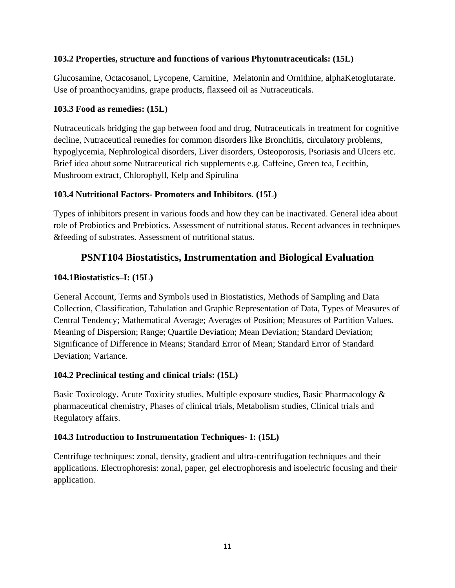# **103.2 Properties, structure and functions of various Phytonutraceuticals: (15L)**

Glucosamine, Octacosanol, Lycopene, Carnitine, Melatonin and Ornithine, alphaKetoglutarate. Use of proanthocyanidins, grape products, flaxseed oil as Nutraceuticals.

# **103.3 Food as remedies: (15L)**

Nutraceuticals bridging the gap between food and drug, Nutraceuticals in treatment for cognitive decline, Nutraceutical remedies for common disorders like Bronchitis, circulatory problems, hypoglycemia, Nephrological disorders, Liver disorders, Osteoporosis, Psoriasis and Ulcers etc. Brief idea about some Nutraceutical rich supplements e.g. Caffeine, Green tea, Lecithin, Mushroom extract, Chlorophyll, Kelp and Spirulina

# **103.4 Nutritional Factors- Promoters and Inhibitors**. **(15L)**

Types of inhibitors present in various foods and how they can be inactivated. General idea about role of Probiotics and Prebiotics. Assessment of nutritional status. Recent advances in techniques &feeding of substrates. Assessment of nutritional status.

# **PSNT104 Biostatistics, Instrumentation and Biological Evaluation**

# **104.1Biostatistics–I: (15L)**

General Account, Terms and Symbols used in Biostatistics, Methods of Sampling and Data Collection, Classification, Tabulation and Graphic Representation of Data, Types of Measures of Central Tendency; Mathematical Average; Averages of Position; Measures of Partition Values. Meaning of Dispersion; Range; Quartile Deviation; Mean Deviation; Standard Deviation; Significance of Difference in Means; Standard Error of Mean; Standard Error of Standard Deviation; Variance.

## **104.2 Preclinical testing and clinical trials: (15L)**

Basic Toxicology, Acute Toxicity studies, Multiple exposure studies, Basic Pharmacology & pharmaceutical chemistry, Phases of clinical trials, Metabolism studies, Clinical trials and Regulatory affairs.

## **104.3 Introduction to Instrumentation Techniques- I: (15L)**

Centrifuge techniques: zonal, density, gradient and ultra-centrifugation techniques and their applications. Electrophoresis: zonal, paper, gel electrophoresis and isoelectric focusing and their application.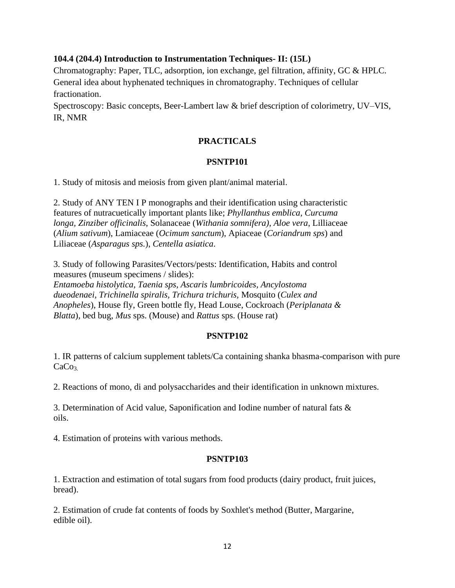#### **104.4 (204.4) Introduction to Instrumentation Techniques- II: (15L)**

Chromatography: Paper, TLC, adsorption, ion exchange, gel filtration, affinity, GC & HPLC. General idea about hyphenated techniques in chromatography. Techniques of cellular fractionation.

Spectroscopy: Basic concepts, Beer-Lambert law & brief description of colorimetry, UV–VIS, IR, NMR

#### **PRACTICALS**

#### **PSNTP101**

1. Study of mitosis and meiosis from given plant/animal material.

2. Study of ANY TEN I P monographs and their identification using characteristic features of nutracuetically important plants like; *Phyllanthus emblica, Curcuma longa, Zinziber officinalis*, Solanaceae (*Withania somnifera)*, *Aloe vera*, Lilliaceae (*Alium sativum*), Lamiaceae (*Ocimum sanctum*), Apiaceae (*Coriandrum sps*) and Liliaceae (*Asparagus sps.*), *Centella asiatica*.

3. Study of following Parasites/Vectors/pests: Identification, Habits and control measures (museum specimens / slides):

*Entamoeba histolytica, Taenia sps, Ascaris lumbricoides, Ancylostoma dueodenaei, Trichinella spiralis, Trichura trichuris,* Mosquito (*Culex and Anopheles*), House fly, Green bottle fly*,* Head Louse, Cockroach (*Periplanata & Blatta*), bed bug, *Mus* sps. (Mouse) and *Rattus* sps. (House rat)

#### **PSNTP102**

1. IR patterns of calcium supplement tablets/Ca containing shanka bhasma-comparison with pure  $CaCo<sub>3</sub>$ .

2. Reactions of mono, di and polysaccharides and their identification in unknown mixtures.

3. Determination of Acid value, Saponification and Iodine number of natural fats & oils.

4. Estimation of proteins with various methods.

#### **PSNTP103**

1. Extraction and estimation of total sugars from food products (dairy product, fruit juices, bread).

2. Estimation of crude fat contents of foods by Soxhlet's method (Butter, Margarine, edible oil).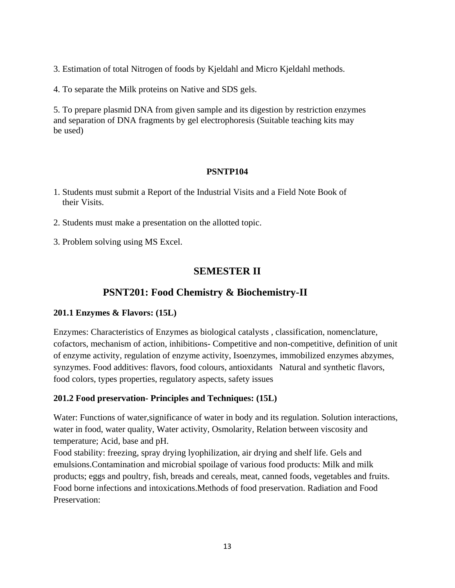3. Estimation of total Nitrogen of foods by Kjeldahl and Micro Kjeldahl methods.

4. To separate the Milk proteins on Native and SDS gels.

5. To prepare plasmid DNA from given sample and its digestion by restriction enzymes and separation of DNA fragments by gel electrophoresis (Suitable teaching kits may be used)

## **PSNTP104**

- 1. Students must submit a Report of the Industrial Visits and a Field Note Book of their Visits.
- 2. Students must make a presentation on the allotted topic.
- 3. Problem solving using MS Excel.

# **SEMESTER II**

# **PSNT201: Food Chemistry & Biochemistry-II**

#### **201.1 Enzymes & Flavors: (15L)**

Enzymes: Characteristics of Enzymes as biological catalysts , classification, nomenclature, cofactors, mechanism of action, inhibitions- Competitive and non-competitive, definition of unit of enzyme activity, regulation of enzyme activity, Isoenzymes, immobilized enzymes abzymes, synzymes. Food additives: flavors, food colours, antioxidants Natural and synthetic flavors, food colors, types properties, regulatory aspects, safety issues

## **201.2 Food preservation- Principles and Techniques: (15L)**

Water: Functions of water,significance of water in body and its regulation. Solution interactions, water in food, water quality, Water activity, Osmolarity, Relation between viscosity and temperature; Acid, base and pH.

Food stability: freezing, spray drying lyophilization, air drying and shelf life. Gels and emulsions.Contamination and microbial spoilage of various food products: Milk and milk products; eggs and poultry, fish, breads and cereals, meat, canned foods, vegetables and fruits. Food borne infections and intoxications.Methods of food preservation. Radiation and Food Preservation: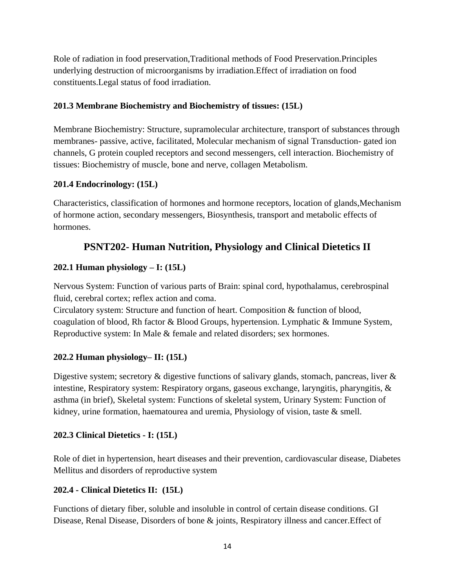Role of radiation in food preservation,Traditional methods of Food Preservation.Principles underlying destruction of microorganisms by irradiation.Effect of irradiation on food constituents.Legal status of food irradiation.

# **201.3 Membrane Biochemistry and Biochemistry of tissues: (15L)**

Membrane Biochemistry: Structure, supramolecular architecture, transport of substances through membranes- passive, active, facilitated, Molecular mechanism of signal Transduction- gated ion channels, G protein coupled receptors and second messengers, cell interaction. Biochemistry of tissues: Biochemistry of muscle, bone and nerve, collagen Metabolism.

# **201.4 Endocrinology: (15L)**

Characteristics, classification of hormones and hormone receptors, location of glands,Mechanism of hormone action, secondary messengers, Biosynthesis, transport and metabolic effects of hormones.

# **PSNT202- Human Nutrition, Physiology and Clinical Dietetics II**

# **202.1 Human physiology – I: (15L)**

Nervous System: Function of various parts of Brain: spinal cord, hypothalamus, cerebrospinal fluid, cerebral cortex; reflex action and coma.

Circulatory system: Structure and function of heart. Composition & function of blood, coagulation of blood, Rh factor & Blood Groups, hypertension. Lymphatic & Immune System, Reproductive system: In Male & female and related disorders; sex hormones.

# **202.2 Human physiology– II: (15L)**

Digestive system; secretory  $\&$  digestive functions of salivary glands, stomach, pancreas, liver  $\&$ intestine, Respiratory system: Respiratory organs, gaseous exchange, laryngitis, pharyngitis, & asthma (in brief), Skeletal system: Functions of skeletal system, Urinary System: Function of kidney, urine formation, haematourea and uremia, Physiology of vision, taste  $\&$  smell.

# **202.3 Clinical Dietetics - I: (15L)**

Role of diet in hypertension, heart diseases and their prevention, cardiovascular disease, Diabetes Mellitus and disorders of reproductive system

# **202.4 - Clinical Dietetics II: (15L)**

Functions of dietary fiber, soluble and insoluble in control of certain disease conditions. GI Disease, Renal Disease, Disorders of bone & joints, Respiratory illness and cancer.Effect of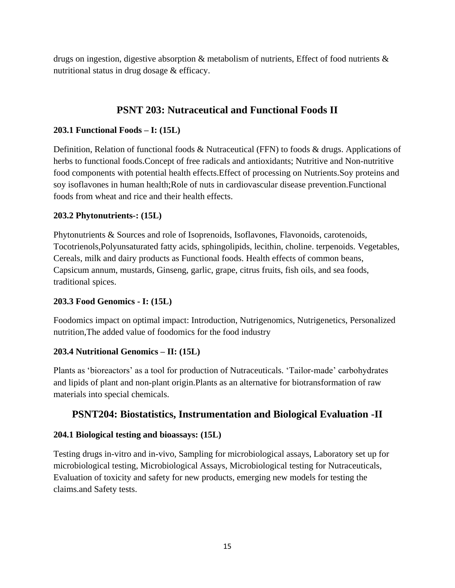drugs on ingestion, digestive absorption & metabolism of nutrients, Effect of food nutrients  $\&$ nutritional status in drug dosage & efficacy.

# **PSNT 203: Nutraceutical and Functional Foods II**

# **203.1 Functional Foods – I: (15L)**

Definition, Relation of functional foods & Nutraceutical (FFN) to foods & drugs. Applications of herbs to functional foods.Concept of free radicals and antioxidants; Nutritive and Non-nutritive food components with potential health effects.Effect of processing on Nutrients.Soy proteins and soy isoflavones in human health;Role of nuts in cardiovascular disease prevention.Functional foods from wheat and rice and their health effects.

# **203.2 Phytonutrients-: (15L)**

Phytonutrients & Sources and role of Isoprenoids, Isoflavones, Flavonoids, carotenoids, Tocotrienols,Polyunsaturated fatty acids, sphingolipids, lecithin, choline. terpenoids. Vegetables, Cereals, milk and dairy products as Functional foods. Health effects of common beans, Capsicum annum, mustards, Ginseng, garlic, grape, citrus fruits, fish oils, and sea foods, traditional spices.

## **203.3 Food Genomics - I: (15L)**

Foodomics impact on optimal impact: Introduction, Nutrigenomics, Nutrigenetics, Personalized nutrition,The added value of foodomics for the food industry

# **203.4 Nutritional Genomics – II: (15L)**

Plants as 'bioreactors' as a tool for production of Nutraceuticals. 'Tailor-made' carbohydrates and lipids of plant and non-plant origin.Plants as an alternative for biotransformation of raw materials into special chemicals.

# **PSNT204: Biostatistics, Instrumentation and Biological Evaluation -II**

# **204.1 Biological testing and bioassays: (15L)**

Testing drugs in-vitro and in-vivo, Sampling for microbiological assays, Laboratory set up for microbiological testing, Microbiological Assays, Microbiological testing for Nutraceuticals, Evaluation of toxicity and safety for new products, emerging new models for testing the claims.and Safety tests.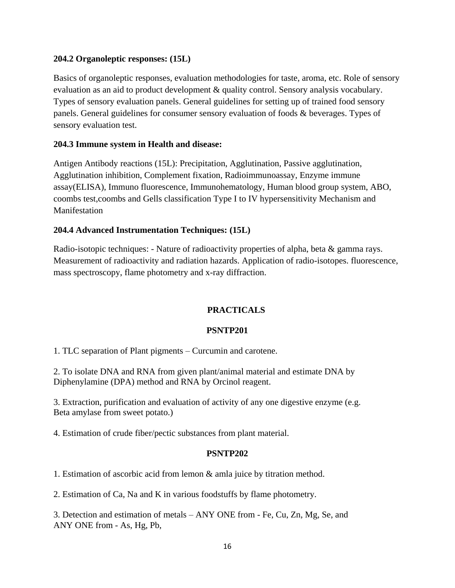#### **204.2 Organoleptic responses: (15L)**

Basics of organoleptic responses, evaluation methodologies for taste, aroma, etc. Role of sensory evaluation as an aid to product development & quality control. Sensory analysis vocabulary. Types of sensory evaluation panels. General guidelines for setting up of trained food sensory panels. General guidelines for consumer sensory evaluation of foods & beverages. Types of sensory evaluation test.

#### **204.3 Immune system in Health and disease:**

Antigen Antibody reactions (15L): Precipitation, Agglutination, Passive agglutination, Agglutination inhibition, Complement fixation, Radioimmunoassay, Enzyme immune assay(ELISA), Immuno fluorescence, Immunohematology, Human blood group system, ABO, coombs test,coombs and Gells classification Type I to IV hypersensitivity Mechanism and Manifestation

#### **204.4 Advanced Instrumentation Techniques: (15L)**

Radio-isotopic techniques: - Nature of radioactivity properties of alpha, beta & gamma rays. Measurement of radioactivity and radiation hazards. Application of radio-isotopes. fluorescence, mass spectroscopy, flame photometry and x-ray diffraction.

## **PRACTICALS**

#### **PSNTP201**

1. TLC separation of Plant pigments – Curcumin and carotene.

2. To isolate DNA and RNA from given plant/animal material and estimate DNA by Diphenylamine (DPA) method and RNA by Orcinol reagent.

3. Extraction, purification and evaluation of activity of any one digestive enzyme (e.g. Beta amylase from sweet potato.)

4. Estimation of crude fiber/pectic substances from plant material.

#### **PSNTP202**

1. Estimation of ascorbic acid from lemon & amla juice by titration method.

2. Estimation of Ca, Na and K in various foodstuffs by flame photometry.

3. Detection and estimation of metals – ANY ONE from - Fe, Cu, Zn, Mg, Se, and ANY ONE from - As, Hg, Pb,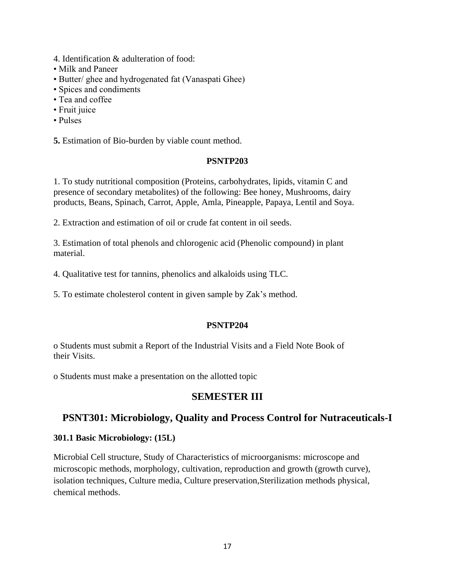- 4. Identification & adulteration of food:
- Milk and Paneer
- Butter/ ghee and hydrogenated fat (Vanaspati Ghee)
- Spices and condiments
- Tea and coffee
- Fruit juice
- Pulses

**5.** Estimation of Bio-burden by viable count method.

#### **PSNTP203**

1. To study nutritional composition (Proteins, carbohydrates, lipids, vitamin C and presence of secondary metabolites) of the following: Bee honey, Mushrooms, dairy products, Beans, Spinach, Carrot, Apple, Amla, Pineapple, Papaya, Lentil and Soya.

2. Extraction and estimation of oil or crude fat content in oil seeds.

3. Estimation of total phenols and chlorogenic acid (Phenolic compound) in plant material.

- 4. Qualitative test for tannins, phenolics and alkaloids using TLC.
- 5. To estimate cholesterol content in given sample by Zak's method.

#### **PSNTP204**

o Students must submit a Report of the Industrial Visits and a Field Note Book of their Visits.

o Students must make a presentation on the allotted topic

# **SEMESTER III**

# **PSNT301: Microbiology, Quality and Process Control for Nutraceuticals-I**

#### **301.1 Basic Microbiology: (15L)**

Microbial Cell structure, Study of Characteristics of microorganisms: microscope and microscopic methods, morphology, cultivation, reproduction and growth (growth curve), isolation techniques, Culture media, Culture preservation,Sterilization methods physical, chemical methods.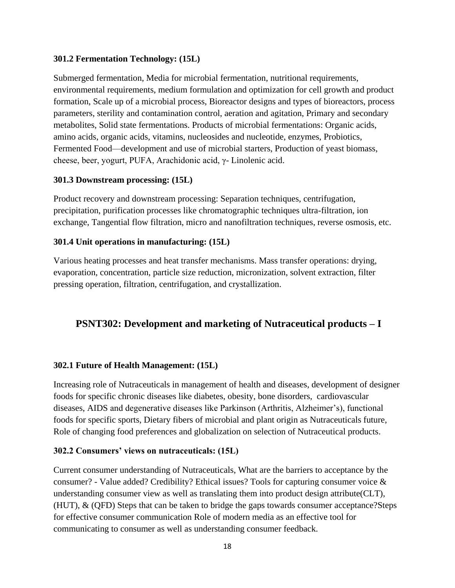#### **301.2 Fermentation Technology: (15L)**

Submerged fermentation, Media for microbial fermentation, nutritional requirements, environmental requirements, medium formulation and optimization for cell growth and product formation, Scale up of a microbial process, Bioreactor designs and types of bioreactors, process parameters, sterility and contamination control, aeration and agitation, Primary and secondary metabolites, Solid state fermentations. Products of microbial fermentations: Organic acids, amino acids, organic acids, vitamins, nucleosides and nucleotide, enzymes, Probiotics, Fermented Food—development and use of microbial starters, Production of yeast biomass, cheese, beer, yogurt, PUFA, Arachidonic acid, γ- Linolenic acid.

#### **301.3 Downstream processing: (15L)**

Product recovery and downstream processing: Separation techniques, centrifugation, precipitation, purification processes like chromatographic techniques ultra-filtration, ion exchange, Tangential flow filtration, micro and nanofiltration techniques, reverse osmosis, etc.

#### **301.4 Unit operations in manufacturing: (15L)**

Various heating processes and heat transfer mechanisms. Mass transfer operations: drying, evaporation, concentration, particle size reduction, micronization, solvent extraction, filter pressing operation, filtration, centrifugation, and crystallization.

# **PSNT302: Development and marketing of Nutraceutical products – I**

#### **302.1 Future of Health Management: (15L)**

Increasing role of Nutraceuticals in management of health and diseases, development of designer foods for specific chronic diseases like diabetes, obesity, bone disorders, cardiovascular diseases, AIDS and degenerative diseases like Parkinson (Arthritis, Alzheimer's), functional foods for specific sports, Dietary fibers of microbial and plant origin as Nutraceuticals future, Role of changing food preferences and globalization on selection of Nutraceutical products.

#### **302.2 Consumers' views on nutraceuticals: (15L)**

Current consumer understanding of Nutraceuticals, What are the barriers to acceptance by the consumer? - Value added? Credibility? Ethical issues? Tools for capturing consumer voice & understanding consumer view as well as translating them into product design attribute(CLT), (HUT), & (QFD) Steps that can be taken to bridge the gaps towards consumer acceptance?Steps for effective consumer communication Role of modern media as an effective tool for communicating to consumer as well as understanding consumer feedback.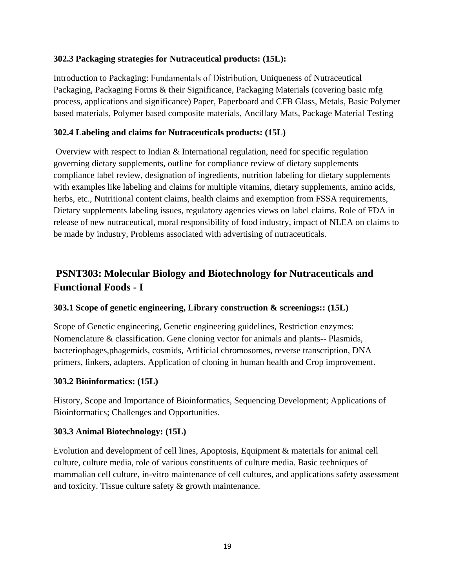## **302.3 Packaging strategies for Nutraceutical products: (15L):**

Introduction to Packaging: Fundamentals of Distribution, Uniqueness of Nutraceutical Packaging, Packaging Forms & their Significance, Packaging Materials (covering basic mfg process, applications and significance) Paper, Paperboard and CFB Glass, Metals, Basic Polymer based materials, Polymer based composite materials, Ancillary Mats, Package Material Testing

# **302.4 Labeling and claims for Nutraceuticals products: (15L)**

Overview with respect to Indian & International regulation, need for specific regulation governing dietary supplements, outline for compliance review of dietary supplements compliance label review, designation of ingredients, nutrition labeling for dietary supplements with examples like labeling and claims for multiple vitamins, dietary supplements, amino acids, herbs, etc., Nutritional content claims, health claims and exemption from FSSA requirements, Dietary supplements labeling issues, regulatory agencies views on label claims. Role of FDA in release of new nutraceutical, moral responsibility of food industry, impact of NLEA on claims to be made by industry, Problems associated with advertising of nutraceuticals.

# **PSNT303: Molecular Biology and Biotechnology for Nutraceuticals and Functional Foods - I**

# **303.1 Scope of genetic engineering, Library construction & screenings:: (15L)**

Scope of Genetic engineering, Genetic engineering guidelines, Restriction enzymes: Nomenclature & classification. Gene cloning vector for animals and plants-- Plasmids, bacteriophages,phagemids, cosmids, Artificial chromosomes, reverse transcription, DNA primers, linkers, adapters. Application of cloning in human health and Crop improvement.

## **303.2 Bioinformatics: (15L)**

History, Scope and Importance of Bioinformatics, Sequencing Development; Applications of Bioinformatics; Challenges and Opportunities.

## **303.3 Animal Biotechnology: (15L)**

Evolution and development of cell lines, Apoptosis, Equipment & materials for animal cell culture, culture media, role of various constituents of culture media. Basic techniques of mammalian cell culture, in-vitro maintenance of cell cultures, and applications safety assessment and toxicity. Tissue culture safety & growth maintenance.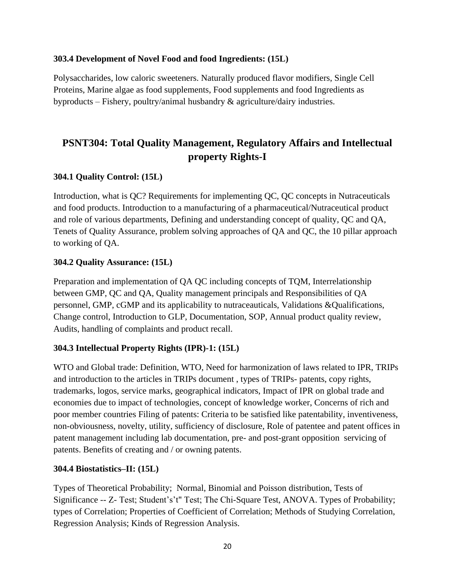#### **303.4 Development of Novel Food and food Ingredients: (15L)**

Polysaccharides, low caloric sweeteners. Naturally produced flavor modifiers, Single Cell Proteins, Marine algae as food supplements, Food supplements and food Ingredients as byproducts – Fishery, poultry/animal husbandry & agriculture/dairy industries.

# **PSNT304: Total Quality Management, Regulatory Affairs and Intellectual property Rights-I**

## **304.1 Quality Control: (15L)**

Introduction, what is QC? Requirements for implementing QC, QC concepts in Nutraceuticals and food products. Introduction to a manufacturing of a pharmaceutical/Nutraceutical product and role of various departments, Defining and understanding concept of quality, QC and QA, Tenets of Quality Assurance, problem solving approaches of QA and QC, the 10 pillar approach to working of QA.

#### **304.2 Quality Assurance: (15L)**

Preparation and implementation of QA QC including concepts of TQM, Interrelationship between GMP, QC and QA, Quality management principals and Responsibilities of QA personnel, GMP, cGMP and its applicability to nutraceauticals, Validations &Qualifications, Change control, Introduction to GLP, Documentation, SOP, Annual product quality review, Audits, handling of complaints and product recall.

## **304.3 Intellectual Property Rights (IPR)-1: (15L)**

WTO and Global trade: Definition, WTO, Need for harmonization of laws related to IPR, TRIPs and introduction to the articles in TRIPs document , types of TRIPs- patents, copy rights, trademarks, logos, service marks, geographical indicators, Impact of IPR on global trade and economies due to impact of technologies, concept of knowledge worker, Concerns of rich and poor member countries Filing of patents: Criteria to be satisfied like patentability, inventiveness, non-obviousness, novelty, utility, sufficiency of disclosure, Role of patentee and patent offices in patent management including lab documentation, pre- and post-grant opposition servicing of patents. Benefits of creating and / or owning patents.

#### **304.4 Biostatistics–II: (15L)**

Types of Theoretical Probability; Normal, Binomial and Poisson distribution, Tests of Significance -- Z- Test; Student's't" Test; The Chi-Square Test, ANOVA. Types of Probability; types of Correlation; Properties of Coefficient of Correlation; Methods of Studying Correlation, Regression Analysis; Kinds of Regression Analysis.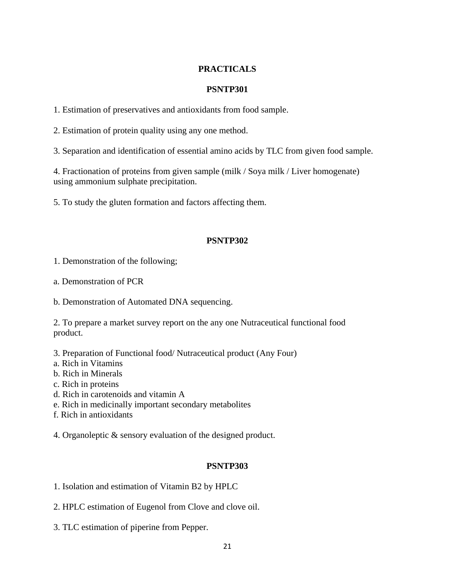## **PRACTICALS**

#### **PSNTP301**

1. Estimation of preservatives and antioxidants from food sample.

2. Estimation of protein quality using any one method.

3. Separation and identification of essential amino acids by TLC from given food sample.

4. Fractionation of proteins from given sample (milk / Soya milk / Liver homogenate) using ammonium sulphate precipitation.

5. To study the gluten formation and factors affecting them.

#### **PSNTP302**

1. Demonstration of the following;

a. Demonstration of PCR

b. Demonstration of Automated DNA sequencing.

2. To prepare a market survey report on the any one Nutraceutical functional food product.

3. Preparation of Functional food/ Nutraceutical product (Any Four)

a. Rich in Vitamins

b. Rich in Minerals

c. Rich in proteins

d. Rich in carotenoids and vitamin A

e. Rich in medicinally important secondary metabolites

f. Rich in antioxidants

4. Organoleptic & sensory evaluation of the designed product.

#### **PSNTP303**

1. Isolation and estimation of Vitamin B2 by HPLC

2. HPLC estimation of Eugenol from Clove and clove oil.

3. TLC estimation of piperine from Pepper.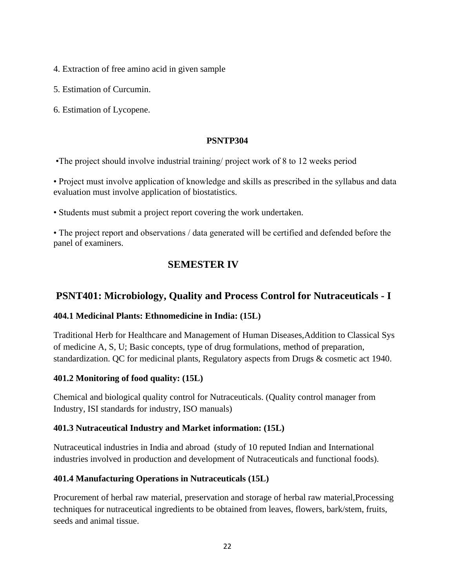- 4. Extraction of free amino acid in given sample
- 5. Estimation of Curcumin.
- 6. Estimation of Lycopene.

#### **PSNTP304**

•The project should involve industrial training/ project work of 8 to 12 weeks period

• Project must involve application of knowledge and skills as prescribed in the syllabus and data evaluation must involve application of biostatistics.

• Students must submit a project report covering the work undertaken.

• The project report and observations / data generated will be certified and defended before the panel of examiners.

# **SEMESTER IV**

# **PSNT401: Microbiology, Quality and Process Control for Nutraceuticals - I**

#### **404.1 Medicinal Plants: Ethnomedicine in India: (15L)**

Traditional Herb for Healthcare and Management of Human Diseases,Addition to Classical Sys of medicine A, S, U; Basic concepts, type of drug formulations, method of preparation, standardization. QC for medicinal plants, Regulatory aspects from Drugs & cosmetic act 1940.

#### **401.2 Monitoring of food quality: (15L)**

Chemical and biological quality control for Nutraceuticals. (Quality control manager from Industry, ISI standards for industry, ISO manuals)

#### **401.3 Nutraceutical Industry and Market information: (15L)**

Nutraceutical industries in India and abroad (study of 10 reputed Indian and International industries involved in production and development of Nutraceuticals and functional foods).

## **401.4 Manufacturing Operations in Nutraceuticals (15L)**

Procurement of herbal raw material, preservation and storage of herbal raw material,Processing techniques for nutraceutical ingredients to be obtained from leaves, flowers, bark/stem, fruits, seeds and animal tissue.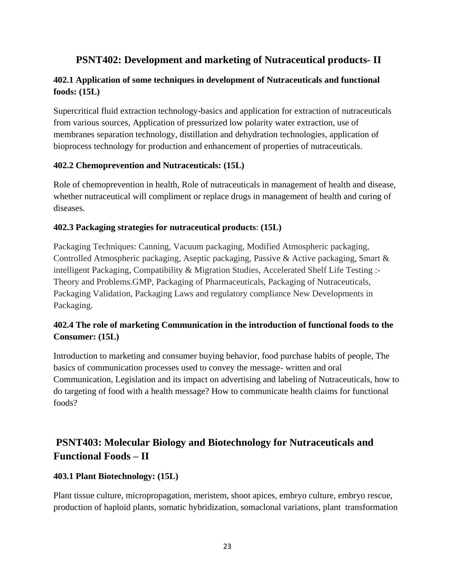# **PSNT402: Development and marketing of Nutraceutical products- II**

# **402.1 Application of some techniques in development of Nutraceuticals and functional foods: (15L)**

Supercritical fluid extraction technology-basics and application for extraction of nutraceuticals from various sources, Application of pressurized low polarity water extraction, use of membranes separation technology, distillation and dehydration technologies, application of bioprocess technology for production and enhancement of properties of nutraceuticals.

## **402.2 Chemoprevention and Nutraceuticals: (15L)**

Role of chemoprevention in health, Role of nutraceuticals in management of health and disease, whether nutraceutical will compliment or replace drugs in management of health and curing of diseases.

#### **402.3 Packaging strategies for nutraceutical products**: **(15L)**

Packaging Techniques: Canning, Vacuum packaging, Modified Atmospheric packaging, Controlled Atmospheric packaging, Aseptic packaging, Passive & Active packaging, Smart & intelligent Packaging, Compatibility & Migration Studies, Accelerated Shelf Life Testing :-Theory and Problems.GMP, Packaging of Pharmaceuticals, Packaging of Nutraceuticals, Packaging Validation, Packaging Laws and regulatory compliance New Developments in Packaging.

# **402.4 The role of marketing Communication in the introduction of functional foods to the Consumer: (15L)**

Introduction to marketing and consumer buying behavior, food purchase habits of people, The basics of communication processes used to convey the message- written and oral Communication, Legislation and its impact on advertising and labeling of Nutraceuticals, how to do targeting of food with a health message? How to communicate health claims for functional foods?

# **PSNT403: Molecular Biology and Biotechnology for Nutraceuticals and Functional Foods – II**

## **403.1 Plant Biotechnology: (15L)**

Plant tissue culture, micropropagation, meristem, shoot apices, embryo culture, embryo rescue, production of haploid plants, somatic hybridization, somaclonal variations, plant transformation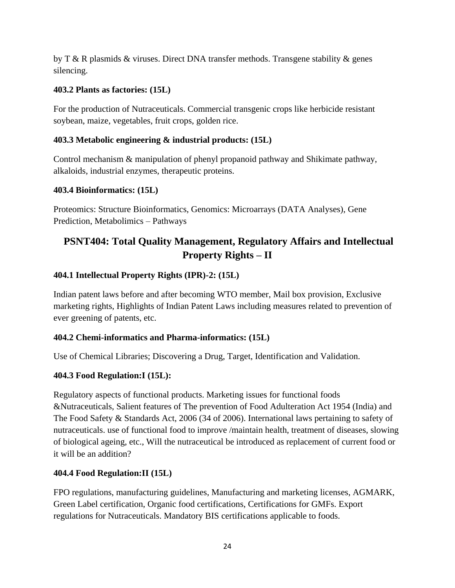by T & R plasmids & viruses. Direct DNA transfer methods. Transgene stability & genes silencing.

# **403.2 Plants as factories: (15L)**

For the production of Nutraceuticals. Commercial transgenic crops like herbicide resistant soybean, maize, vegetables, fruit crops, golden rice.

# **403.3 Metabolic engineering & industrial products: (15L)**

Control mechanism & manipulation of phenyl propanoid pathway and Shikimate pathway, alkaloids, industrial enzymes, therapeutic proteins.

# **403.4 Bioinformatics: (15L)**

Proteomics: Structure Bioinformatics, Genomics: Microarrays (DATA Analyses), Gene Prediction, Metabolimics – Pathways

# **PSNT404: Total Quality Management, Regulatory Affairs and Intellectual Property Rights – II**

# **404.1 Intellectual Property Rights (IPR)-2: (15L)**

Indian patent laws before and after becoming WTO member, Mail box provision, Exclusive marketing rights, Highlights of Indian Patent Laws including measures related to prevention of ever greening of patents, etc.

# **404.2 Chemi-informatics and Pharma-informatics: (15L)**

Use of Chemical Libraries; Discovering a Drug, Target, Identification and Validation.

# **404.3 Food Regulation:I (15L):**

Regulatory aspects of functional products. Marketing issues for functional foods &Nutraceuticals, Salient features of The prevention of Food Adulteration Act 1954 (India) and The Food Safety & Standards Act, 2006 (34 of 2006). International laws pertaining to safety of nutraceuticals. use of functional food to improve /maintain health, treatment of diseases, slowing of biological ageing, etc., Will the nutraceutical be introduced as replacement of current food or it will be an addition?

# **404.4 Food Regulation:II (15L)**

FPO regulations, manufacturing guidelines, Manufacturing and marketing licenses, AGMARK, Green Label certification, Organic food certifications, Certifications for GMFs. Export regulations for Nutraceuticals. Mandatory BIS certifications applicable to foods.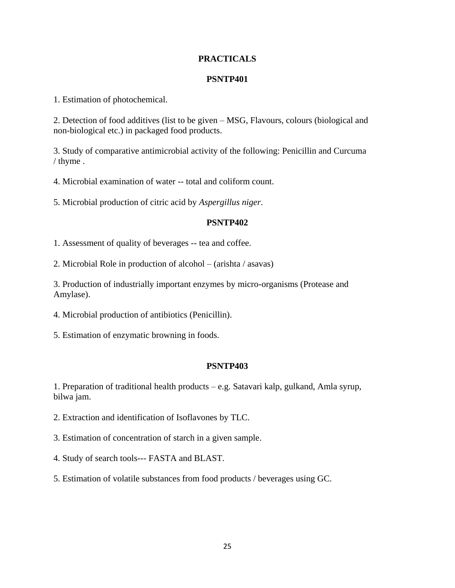#### **PRACTICALS**

#### **PSNTP401**

1. Estimation of photochemical.

2. Detection of food additives (list to be given – MSG, Flavours, colours (biological and non-biological etc.) in packaged food products.

3. Study of comparative antimicrobial activity of the following: Penicillin and Curcuma / thyme .

4. Microbial examination of water -- total and coliform count.

5. Microbial production of citric acid by *Aspergillus niger*.

#### **PSNTP402**

1. Assessment of quality of beverages -- tea and coffee.

2. Microbial Role in production of alcohol – (arishta / asavas)

3. Production of industrially important enzymes by micro-organisms (Protease and Amylase).

- 4. Microbial production of antibiotics (Penicillin).
- 5. Estimation of enzymatic browning in foods.

#### **PSNTP403**

1. Preparation of traditional health products – e.g. Satavari kalp, gulkand, Amla syrup, bilwa jam.

2. Extraction and identification of Isoflavones by TLC.

- 3. Estimation of concentration of starch in a given sample.
- 4. Study of search tools--- FASTA and BLAST.
- 5. Estimation of volatile substances from food products / beverages using GC.